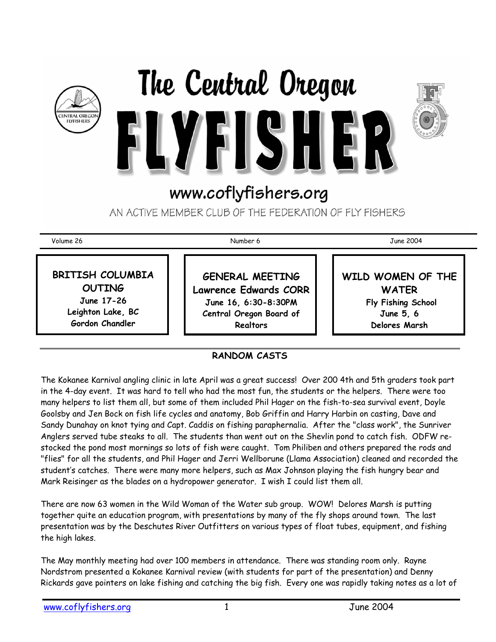





AN ACTIVE MEMBER CLUB OF THE FEDERATION OF FLY FISHERS

Volume 26 Number 6 June 2004

**BRITISH COLUMBIA OUTING June 17-26 Leighton Lake, BC Gordon Chandler** 

**GENERAL MEETING Lawrence Edwards CORR June 16, 6:30-8:30PM Central Oregon Board of Realtors** 

**WILD WOMEN OF THE WATER Fly Fishing School June 5, 6 Delores Marsh**

## **RANDOM CASTS**

The Kokanee Karnival angling clinic in late April was a great success! Over 200 4th and 5th graders took part in the 4-day event. It was hard to tell who had the most fun, the students or the helpers. There were too many helpers to list them all, but some of them included Phil Hager on the fish-to-sea survival event, Doyle Goolsby and Jen Bock on fish life cycles and anatomy, Bob Griffin and Harry Harbin on casting, Dave and Sandy Dunahay on knot tying and Capt. Caddis on fishing paraphernalia. After the "class work", the Sunriver Anglers served tube steaks to all. The students than went out on the Shevlin pond to catch fish. ODFW restocked the pond most mornings so lots of fish were caught. Tom Philiben and others prepared the rods and "flies" for all the students, and Phil Hager and Jerri Wellborune (Llama Association) cleaned and recorded the student's catches. There were many more helpers, such as Max Johnson playing the fish hungry bear and Mark Reisinger as the blades on a hydropower generator. I wish I could list them all.

There are now 63 women in the Wild Woman of the Water sub group. WOW! Delores Marsh is putting together quite an education program, with presentations by many of the fly shops around town. The last presentation was by the Deschutes River Outfitters on various types of float tubes, equipment, and fishing the high lakes.

The May monthly meeting had over 100 members in attendance. There was standing room only. Rayne Nordstrom presented a Kokanee Karnival review (with students for part of the presentation) and Denny Rickards gave pointers on lake fishing and catching the big fish. Every one was rapidly taking notes as a lot of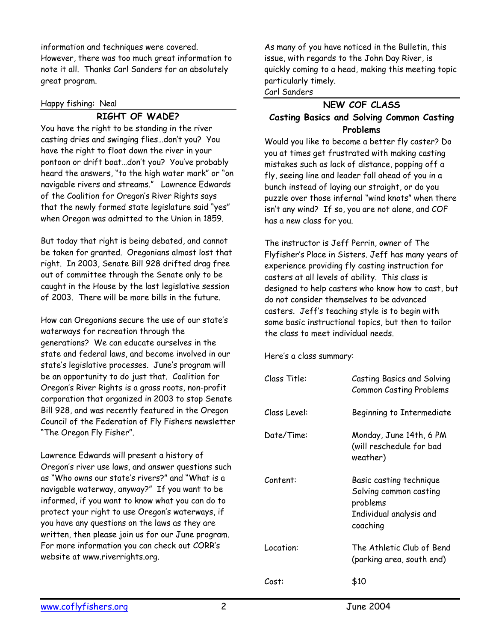information and techniques were covered. However, there was too much great information to note it all. Thanks Carl Sanders for an absolutely great program.

#### Happy fishing: Neal

## **RIGHT OF WADE?**

You have the right to be standing in the river casting dries and swinging flies…don't you? You have the right to float down the river in your pontoon or drift boat…don't you? You've probably heard the answers, "to the high water mark" or "on navigable rivers and streams." Lawrence Edwards of the Coalition for Oregon's River Rights says that the newly formed state legislature said "yes" when Oregon was admitted to the Union in 1859.

But today that right is being debated, and cannot be taken for granted. Oregonians almost lost that right. In 2003, Senate Bill 928 drifted drag free out of committee through the Senate only to be caught in the House by the last legislative session of 2003. There will be more bills in the future.

How can Oregonians secure the use of our state's waterways for recreation through the generations? We can educate ourselves in the state and federal laws, and become involved in our state's legislative processes. June's program will be an opportunity to do just that. Coalition for Oregon's River Rights is a grass roots, non-profit corporation that organized in 2003 to stop Senate Bill 928, and was recently featured in the Oregon Council of the Federation of Fly Fishers newsletter "The Oregon Fly Fisher".

Lawrence Edwards will present a history of Oregon's river use laws, and answer questions such as "Who owns our state's rivers?" and "What is a navigable waterway, anyway?" If you want to be informed, if you want to know what you can do to protect your right to use Oregon's waterways, if you have any questions on the laws as they are written, then please join us for our June program. For more information you can check out CORR's website at www.riverrights.org.

As many of you have noticed in the Bulletin, this issue, with regards to the John Day River, is quickly coming to a head, making this meeting topic particularly timely.

#### Carl Sanders

## **NEW COF CLASS Casting Basics and Solving Common Casting Problems**

Would you like to become a better fly caster? Do you at times get frustrated with making casting mistakes such as lack of distance, popping off a fly, seeing line and leader fall ahead of you in a bunch instead of laying our straight, or do you puzzle over those infernal "wind knots" when there isn't any wind? If so, you are not alone, and COF has a new class for you.

The instructor is Jeff Perrin, owner of The Flyfisher's Place in Sisters. Jeff has many years of experience providing fly casting instruction for casters at all levels of ability. This class is designed to help casters who know how to cast, but do not consider themselves to be advanced casters. Jeff's teaching style is to begin with some basic instructional topics, but then to tailor the class to meet individual needs.

Here's a class summary:

| Class Title: | Casting Basics and Solving<br><b>Common Casting Problems</b>                                         |
|--------------|------------------------------------------------------------------------------------------------------|
| Class Level: | Beginning to Intermediate                                                                            |
| Date/Time:   | Monday, June 14th, 6 PM<br>(will reschedule for bad<br>weather)                                      |
| Content:     | Basic casting technique<br>Solving common casting<br>problems<br>Individual analysis and<br>coaching |
| Location:    | The Athletic Club of Bend<br>(parking area, south end)                                               |
| Cost:        | \$10                                                                                                 |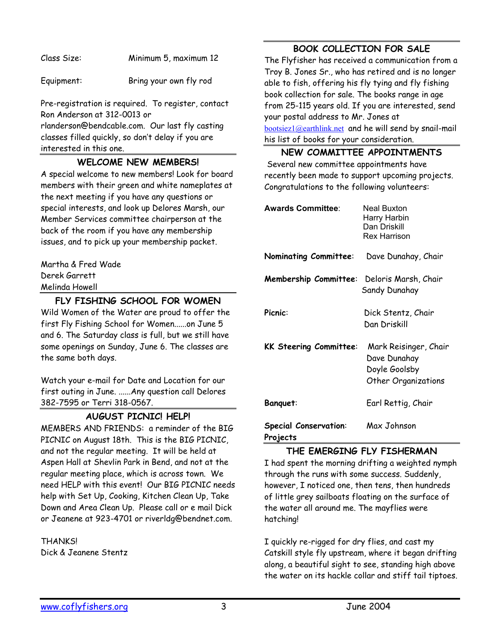Class Size: Minimum 5, maximum 12

Equipment: Bring your own fly rod

Pre-registration is required. To register, contact Ron Anderson at 312-0013 or

rlanderson@bendcable.com. Our last fly casting classes filled quickly, so don't delay if you are interested in this one.

## **WELCOME NEW MEMBERS!**

A special welcome to new members! Look for board members with their green and white nameplates at the next meeting if you have any questions or special interests, and look up Delores Marsh, our Member Services committee chairperson at the back of the room if you have any membership issues, and to pick up your membership packet.

Martha & Fred Wade Derek Garrett Melinda Howell

## **FLY FISHING SCHOOL FOR WOMEN**

Wild Women of the Water are proud to offer the first Fly Fishing School for Women......on June 5 and 6. The Saturday class is full, but we still have some openings on Sunday, June 6. The classes are the same both days.

Watch your e-mail for Date and Location for our first outing in June. ......Any question call Delores 382-7595 or Terri 318-0567.

## **AUGUST PICNIC! HELP!**

MEMBERS AND FRIENDS: a reminder of the BIG PICNIC on August 18th. This is the BIG PICNIC, and not the regular meeting. It will be held at Aspen Hall at Shevlin Park in Bend, and not at the regular meeting place, which is across town. We need HELP with this event! Our BIG PICNIC needs help with Set Up, Cooking, Kitchen Clean Up, Take Down and Area Clean Up. Please call or e mail Dick or Jeanene at 923-4701 or riverldg@bendnet.com.

**THANKS!** Dick & Jeanene Stentz

## **BOOK COLLECTION FOR SALE**

The Flyfisher has received a communication from a Troy B. Jones Sr., who has retired and is no longer able to fish, offering his fly tying and fly fishing book collection for sale. The books range in age from 25-115 years old. If you are interested, send your postal address to Mr. Jones at bootsiez1@earthlink.net and he will send by snail-mail his list of books for your consideration.

#### **NEW COMMITTEE APPOINTMENTS**

Several new committee appointments have recently been made to support upcoming projects. Congratulations to the following volunteers:

| <b>Awards Committee:</b>                 | Neal Buxton<br>Harry Harbin<br>Dan Driskill<br>Rex Harrison                          |
|------------------------------------------|--------------------------------------------------------------------------------------|
| <b>Nominating Committee:</b>             | Dave Dunahay, Chair                                                                  |
| Membership Committee:                    | Deloris Marsh, Chair<br>Sandy Dunahay                                                |
| Picnic:                                  | Dick Stentz, Chair<br>Dan Driskill                                                   |
| <b>KK Steering Committee:</b>            | Mark Reisinger, Chair<br>Dave Dunahay<br>Doyle Goolsby<br><b>Other Organizations</b> |
| Banquet:                                 | Earl Rettig, Chair                                                                   |
| <b>Special Conservation:</b><br>Projects | Max Johnson                                                                          |

#### **THE EMERGING FLY FISHERMAN**

I had spent the morning drifting a weighted nymph through the runs with some success. Suddenly, however, I noticed one, then tens, then hundreds of little grey sailboats floating on the surface of the water all around me. The mayflies were hatching!

I quickly re-rigged for dry flies, and cast my Catskill style fly upstream, where it began drifting along, a beautiful sight to see, standing high above the water on its hackle collar and stiff tail tiptoes.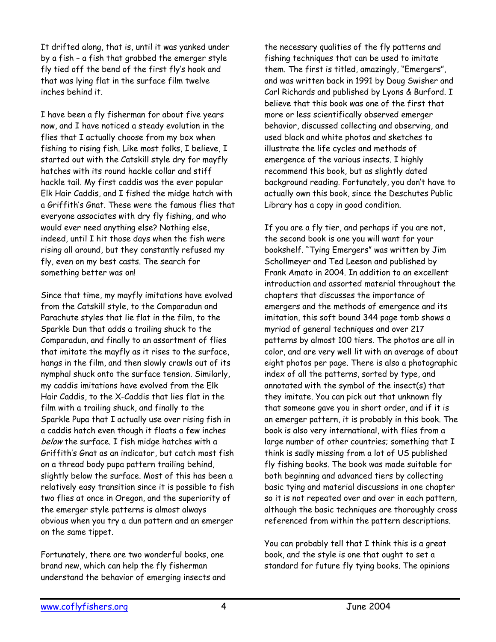It drifted along, that is, until it was yanked under by a fish – a fish that grabbed the emerger style fly tied off the bend of the first fly's hook and that was lying flat in the surface film twelve inches behind it.

I have been a fly fisherman for about five years now, and I have noticed a steady evolution in the flies that I actually choose from my box when fishing to rising fish. Like most folks, I believe, I started out with the Catskill style dry for mayfly hatches with its round hackle collar and stiff hackle tail. My first caddis was the ever popular Elk Hair Caddis, and I fished the midge hatch with a Griffith's Gnat. These were the famous flies that everyone associates with dry fly fishing, and who would ever need anything else? Nothing else, indeed, until I hit those days when the fish were rising all around, but they constantly refused my fly, even on my best casts. The search for something better was on!

Since that time, my mayfly imitations have evolved from the Catskill style, to the Comparadun and Parachute styles that lie flat in the film, to the Sparkle Dun that adds a trailing shuck to the Comparadun, and finally to an assortment of flies that imitate the mayfly as it rises to the surface, hangs in the film, and then slowly crawls out of its nymphal shuck onto the surface tension. Similarly, my caddis imitations have evolved from the Elk Hair Caddis, to the X-Caddis that lies flat in the film with a trailing shuck, and finally to the Sparkle Pupa that I actually use over rising fish in a caddis hatch even though it floats a few inches below the surface. I fish midge hatches with a Griffith's Gnat as an indicator, but catch most fish on a thread body pupa pattern trailing behind, slightly below the surface. Most of this has been a relatively easy transition since it is possible to fish two flies at once in Oregon, and the superiority of the emerger style patterns is almost always obvious when you try a dun pattern and an emerger on the same tippet.

Fortunately, there are two wonderful books, one brand new, which can help the fly fisherman understand the behavior of emerging insects and the necessary qualities of the fly patterns and fishing techniques that can be used to imitate them. The first is titled, amazingly, "Emergers", and was written back in 1991 by Doug Swisher and Carl Richards and published by Lyons & Burford. I believe that this book was one of the first that more or less scientifically observed emerger behavior, discussed collecting and observing, and used black and white photos and sketches to illustrate the life cycles and methods of emergence of the various insects. I highly recommend this book, but as slightly dated background reading. Fortunately, you don't have to actually own this book, since the Deschutes Public Library has a copy in good condition.

If you are a fly tier, and perhaps if you are not, the second book is one you will want for your bookshelf. "Tying Emergers" was written by Jim Schollmeyer and Ted Leeson and published by Frank Amato in 2004. In addition to an excellent introduction and assorted material throughout the chapters that discusses the importance of emergers and the methods of emergence and its imitation, this soft bound 344 page tomb shows a myriad of general techniques and over 217 patterns by almost 100 tiers. The photos are all in color, and are very well lit with an average of about eight photos per page. There is also a photographic index of all the patterns, sorted by type, and annotated with the symbol of the insect(s) that they imitate. You can pick out that unknown fly that someone gave you in short order, and if it is an emerger pattern, it is probably in this book. The book is also very international, with flies from a large number of other countries; something that I think is sadly missing from a lot of US published fly fishing books. The book was made suitable for both beginning and advanced tiers by collecting basic tying and material discussions in one chapter so it is not repeated over and over in each pattern, although the basic techniques are thoroughly cross referenced from within the pattern descriptions.

You can probably tell that I think this is a great book, and the style is one that ought to set a standard for future fly tying books. The opinions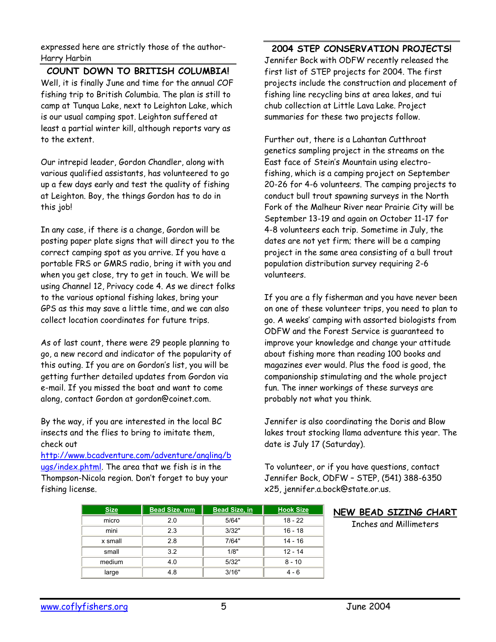expressed here are strictly those of the author-Harry Harbin

**COUNT DOWN TO BRITISH COLUMBIA!**  Well, it is finally June and time for the annual COF fishing trip to British Columbia. The plan is still to camp at Tunqua Lake, next to Leighton Lake, which is our usual camping spot. Leighton suffered at least a partial winter kill, although reports vary as to the extent.

Our intrepid leader, Gordon Chandler, along with various qualified assistants, has volunteered to go up a few days early and test the quality of fishing at Leighton. Boy, the things Gordon has to do in this job!

In any case, if there is a change, Gordon will be posting paper plate signs that will direct you to the correct camping spot as you arrive. If you have a portable FRS or GMRS radio, bring it with you and when you get close, try to get in touch. We will be using Channel 12, Privacy code 4. As we direct folks to the various optional fishing lakes, bring your GPS as this may save a little time, and we can also collect location coordinates for future trips.

As of last count, there were 29 people planning to go, a new record and indicator of the popularity of this outing. If you are on Gordon's list, you will be getting further detailed updates from Gordon via e-mail. If you missed the boat and want to come along, contact Gordon at gordon@coinet.com.

By the way, if you are interested in the local BC insects and the flies to bring to imitate them, check out

http://www.bcadventure.com/adventure/angling/b ugs/index.phtml. The area that we fish is in the Thompson-Nicola region. Don't forget to buy your fishing license.

**2004 STEP CONSERVATION PROJECTS!**  Jennifer Bock with ODFW recently released the first list of STEP projects for 2004. The first projects include the construction and placement of fishing line recycling bins at area lakes, and tui chub collection at Little Lava Lake. Project summaries for these two projects follow.

Further out, there is a Lahantan Cutthroat genetics sampling project in the streams on the East face of Stein's Mountain using electrofishing, which is a camping project on September 20-26 for 4-6 volunteers. The camping projects to conduct bull trout spawning surveys in the North Fork of the Malheur River near Prairie City will be September 13-19 and again on October 11-17 for 4-8 volunteers each trip. Sometime in July, the dates are not yet firm; there will be a camping project in the same area consisting of a bull trout population distribution survey requiring 2-6 volunteers.

If you are a fly fisherman and you have never been on one of these volunteer trips, you need to plan to go. A weeks' camping with assorted biologists from ODFW and the Forest Service is guaranteed to improve your knowledge and change your attitude about fishing more than reading 100 books and magazines ever would. Plus the food is good, the companionship stimulating and the whole project fun. The inner workings of these surveys are probably not what you think.

Jennifer is also coordinating the Doris and Blow lakes trout stocking llama adventure this year. The date is July 17 (Saturday).

To volunteer, or if you have questions, contact Jennifer Bock, ODFW – STEP, (541) 388-6350 x25, jennifer.a.bock@state.or.us.

|  | NEW BEAD SIZING CHART |  |
|--|-----------------------|--|
|  |                       |  |

Inches and Millimeters

| <b>Size</b> | <b>Bead Size, mm</b> | <b>Bead Size, in</b> | <b>Hook Size</b> |
|-------------|----------------------|----------------------|------------------|
| micro       | 2.0                  | 5/64"                | $18 - 22$        |
| mini        | 2.3                  | 3/32"                | $16 - 18$        |
| x small     | 2.8                  | 7/64"                | $14 - 16$        |
| small       | 3.2                  | 1/8"                 | $12 - 14$        |
| medium      | 4.0                  | 5/32"                | $8 - 10$         |
| large       | 4.8                  | 3/16"                | 4 - 6            |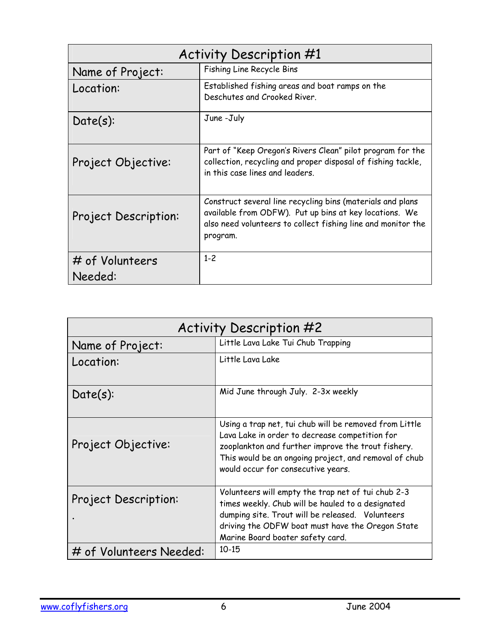| <b>Activity Description #1</b> |                                                                                                                                                                                                  |  |
|--------------------------------|--------------------------------------------------------------------------------------------------------------------------------------------------------------------------------------------------|--|
| Name of Project:               | Fishing Line Recycle Bins                                                                                                                                                                        |  |
| Location:                      | Established fishing areas and boat ramps on the<br>Deschutes and Crooked River.                                                                                                                  |  |
| $Date(s)$ :                    | June -July                                                                                                                                                                                       |  |
| Project Objective:             | Part of "Keep Oregon's Rivers Clean" pilot program for the<br>collection, recycling and proper disposal of fishing tackle,<br>in this case lines and leaders.                                    |  |
| Project Description:           | Construct several line recycling bins (materials and plans<br>available from ODFW). Put up bins at key locations. We<br>also need volunteers to collect fishing line and monitor the<br>program. |  |
| # of Volunteers<br>Needed:     | $1 - 2$                                                                                                                                                                                          |  |
|                                |                                                                                                                                                                                                  |  |

| <b>Activity Description #2</b> |                                                                                                                                                                                                                                                               |  |
|--------------------------------|---------------------------------------------------------------------------------------------------------------------------------------------------------------------------------------------------------------------------------------------------------------|--|
| Name of Project:               | Little Lava Lake Tui Chub Trapping                                                                                                                                                                                                                            |  |
| Location:                      | Little Lava Lake                                                                                                                                                                                                                                              |  |
| $Date(s)$ :                    | Mid June through July. 2-3x weekly                                                                                                                                                                                                                            |  |
| Project Objective:             | Using a trap net, tui chub will be removed from Little<br>Lava Lake in order to decrease competition for<br>zooplankton and further improve the trout fishery.<br>This would be an ongoing project, and removal of chub<br>would occur for consecutive years. |  |
| Project Description:           | Volunteers will empty the trap net of tui chub 2-3<br>times weekly. Chub will be hauled to a designated<br>dumping site. Trout will be released. Volunteers<br>driving the ODFW boat must have the Oregon State<br>Marine Board boater safety card.           |  |
| # of Volunteers Needed:        | $10 - 15$                                                                                                                                                                                                                                                     |  |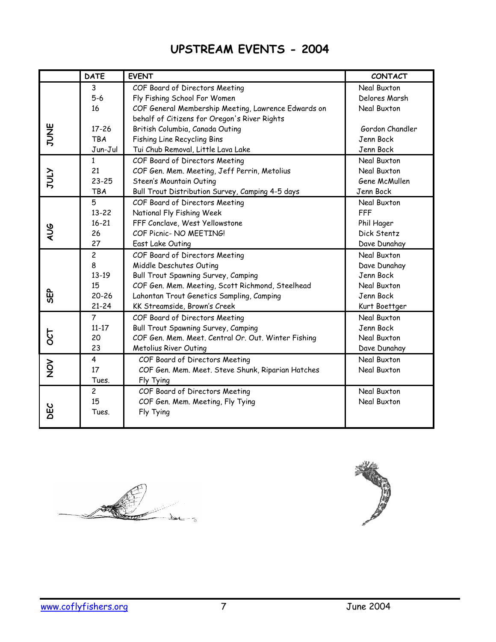# **UPSTREAM EVENTS - 2004**

|               | <b>DATE</b>    | <b>EVENT</b>                                        | <b>CONTACT</b>  |
|---------------|----------------|-----------------------------------------------------|-----------------|
|               | 3              | COF Board of Directors Meeting                      | Neal Buxton     |
|               | $5-6$          | Fly Fishing School For Women                        | Delores Marsh   |
|               | 16             | COF General Membership Meeting, Lawrence Edwards on | Neal Buxton     |
|               |                | behalf of Citizens for Oregon's River Rights        |                 |
| JUNE          | $17 - 26$      | British Columbia, Canada Outing                     | Gordon Chandler |
|               | <b>TBA</b>     | Fishing Line Recycling Bins                         | Jenn Bock       |
|               | Jun-Jul        | Tui Chub Removal, Little Lava Lake                  | Jenn Bock       |
|               | $\mathbf{1}$   | COF Board of Directors Meeting                      | Neal Buxton     |
|               | 21             | COF Gen. Mem. Meeting, Jeff Perrin, Metolius        | Neal Buxton     |
| VTN           | $23 - 25$      | Steen's Mountain Outing                             | Gene McMullen   |
|               | <b>TBA</b>     | Bull Trout Distribution Survey, Camping 4-5 days    | Jenn Bock       |
|               | 5              | COF Board of Directors Meeting                      | Neal Buxton     |
|               | $13 - 22$      | National Fly Fishing Week                           | <b>FFF</b>      |
|               | $16 - 21$      | FFF Conclave, West Yellowstone                      | Phil Hager      |
| AUG           | 26             | COF Picnic- NO MEETING!                             | Dick Stentz     |
|               | 27             | East Lake Outing                                    | Dave Dunahay    |
|               | $\overline{c}$ | COF Board of Directors Meeting                      | Neal Buxton     |
|               | 8              | Middle Deschutes Outing                             | Dave Dunahay    |
|               | $13-19$        | Bull Trout Spawning Survey, Camping                 | Jenn Bock       |
|               | 15             | COF Gen. Mem. Meeting, Scott Richmond, Steelhead    | Neal Buxton     |
| မြာ           | $20 - 26$      | Lahontan Trout Genetics Sampling, Camping           | Jenn Bock       |
|               | $21 - 24$      | KK Streamside, Brown's Creek                        | Kurt Boettger   |
|               | $\overline{7}$ | COF Board of Directors Meeting                      | Neal Buxton     |
|               | $11 - 17$      | Bull Trout Spawning Survey, Camping                 | Jenn Bock       |
| 720           | 20             | COF Gen. Mem. Meet. Central Or. Out. Winter Fishing | Neal Buxton     |
|               | 23             | Metolius River Outing                               | Dave Dunahay    |
|               | 4              | COF Board of Directors Meeting                      | Neal Buxton     |
| $\frac{5}{2}$ | 17             | COF Gen. Mem. Meet. Steve Shunk, Riparian Hatches   | Neal Buxton     |
|               | Tues.          | Fly Tying                                           |                 |
|               | $\overline{c}$ | COF Board of Directors Meeting                      | Neal Buxton     |
|               | 15             | COF Gen. Mem. Meeting, Fly Tying                    | Neal Buxton     |
| <b>DEC</b>    | Tues.          | Fly Tying                                           |                 |
|               |                |                                                     |                 |